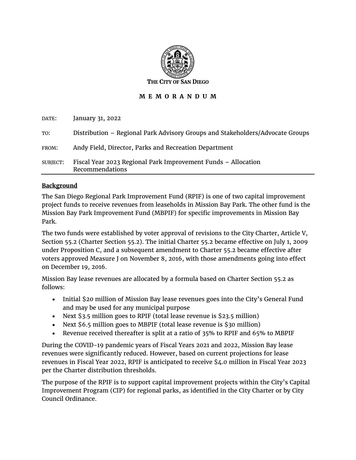

#### **M E M O R A N D U M**

| DATE:    | January 31, 2022                                                                 |
|----------|----------------------------------------------------------------------------------|
| TO:      | Distribution – Regional Park Advisory Groups and Stakeholders/Advocate Groups    |
| FROM:    | Andy Field, Director, Parks and Recreation Department                            |
| SUBJECT: | Fiscal Year 2023 Regional Park Improvement Funds - Allocation<br>Recommendations |

#### **Background**

The San Diego Regional Park Improvement Fund (RPIF) is one of two capital improvement project funds to receive revenues from leaseholds in Mission Bay Park. The other fund is the Mission Bay Park Improvement Fund (MBPIF) for specific improvements in Mission Bay Park.

The two funds were established by voter approval of revisions to the City Charter, Article V, Section 55.2 (Charter Section 55.2). The initial Charter 55.2 became effective on July 1, 2009 under Proposition C, and a subsequent amendment to Charter 55.2 became effective after voters approved Measure J on November 8, 2016, with those amendments going into effect on December 19, 2016.

Mission Bay lease revenues are allocated by a formula based on Charter Section 55.2 as follows:

- Initial \$20 million of Mission Bay lease revenues goes into the City's General Fund and may be used for any municipal purpose
- Next \$3.5 million goes to RPIF (total lease revenue is \$23.5 million)
- Next \$6.5 million goes to MBPIF (total lease revenue is \$30 million)
- Revenue received thereafter is split at a ratio of 35% to RPIF and 65% to MBPIF

During the COVID-19 pandemic years of Fiscal Years 2021 and 2022, Mission Bay lease revenues were significantly reduced. However, based on current projections for lease revenues in Fiscal Year 2022, RPIF is anticipated to receive \$4.0 million in Fiscal Year 2023 per the Charter distribution thresholds.

The purpose of the RPIF is to support capital improvement projects within the City's Capital Improvement Program (CIP) for regional parks, as identified in the City Charter or by City Council Ordinance.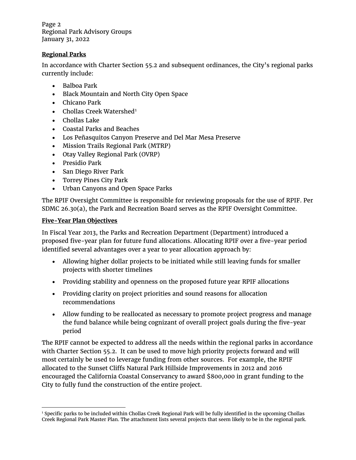Page 2 Regional Park Advisory Groups January 31, 2022

#### **Regional Parks**

In accordance with Charter Section 55.2 and subsequent ordinances, the City's regional parks currently include:

- Balboa Park
- Black Mountain and North City Open Space
- Chicano Park
- Chollas Creek Watershed<sup>[1](#page-1-0)</sup>
- Chollas Lake
- Coastal Parks and Beaches
- Los Peñasquitos Canyon Preserve and Del Mar Mesa Preserve
- Mission Trails Regional Park (MTRP)
- Otay Valley Regional Park (OVRP)
- Presidio Park
- San Diego River Park
- Torrey Pines City Park
- Urban Canyons and Open Space Parks

The RPIF Oversight Committee is responsible for reviewing proposals for the use of RPIF. Per SDMC 26.30(a), the Park and Recreation Board serves as the RPIF Oversight Committee.

#### **Five-Year Plan Objectives**

In Fiscal Year 2013, the Parks and Recreation Department (Department) introduced a proposed five-year plan for future fund allocations. Allocating RPIF over a five-year period identified several advantages over a year to year allocation approach by:

- Allowing higher dollar projects to be initiated while still leaving funds for smaller projects with shorter timelines
- Providing stability and openness on the proposed future year RPIF allocations
- Providing clarity on project priorities and sound reasons for allocation recommendations
- Allow funding to be reallocated as necessary to promote project progress and manage the fund balance while being cognizant of overall project goals during the five-year period

The RPIF cannot be expected to address all the needs within the regional parks in accordance with Charter Section 55.2. It can be used to move high priority projects forward and will most certainly be used to leverage funding from other sources. For example, the RPIF allocated to the Sunset Cliffs Natural Park Hillside Improvements in 2012 and 2016 encouraged the California Coastal Conservancy to award \$800,000 in grant funding to the City to fully fund the construction of the entire project.

<span id="page-1-0"></span><sup>1</sup> Specific parks to be included within Chollas Creek Regional Park will be fully identified in the upcoming Chollas Creek Regional Park Master Plan. The attachment lists several projects that seem likely to be in the regional park.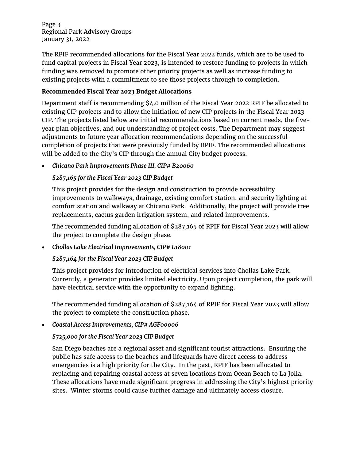Page 3 Regional Park Advisory Groups January 31, 2022

The RPIF recommended allocations for the Fiscal Year 2022 funds, which are to be used to fund capital projects in Fiscal Year 2023, is intended to restore funding to projects in which funding was removed to promote other priority projects as well as increase funding to existing projects with a commitment to see those projects through to completion.

#### **Recommended Fiscal Year 2023 Budget Allocations**

Department staff is recommending \$4.0 million of the Fiscal Year 2022 RPIF be allocated to existing CIP projects and to allow the initiation of new CIP projects in the Fiscal Year 2023 CIP. The projects listed below are initial recommendations based on current needs, the fiveyear plan objectives, and our understanding of project costs. The Department may suggest adjustments to future year allocation recommendations depending on the successful completion of projects that were previously funded by RPIF. The recommended allocations will be added to the City's CIP through the annual City budget process.

• *Chicano Park Improvements Phase III, CIP# B20060*

## *\$287,165 for the Fiscal Year 2023 CIP Budget*

This project provides for the design and construction to provide accessibility improvements to walkways, drainage, existing comfort station, and security lighting at comfort station and walkway at Chicano Park. Additionally, the project will provide tree replacements, cactus garden irrigation system, and related improvements.

The recommended funding allocation of \$287,165 of RPIF for Fiscal Year 2023 will allow the project to complete the design phase.

• *Chollas Lake Electrical Improvements, CIP# L18001*

#### *\$287,164 for the Fiscal Year 2023 CIP Budget*

This project provides for introduction of electrical services into Chollas Lake Park. Currently, a generator provides limited electricity. Upon project completion, the park will have electrical service with the opportunity to expand lighting.

The recommended funding allocation of \$287,164 of RPIF for Fiscal Year 2023 will allow the project to complete the construction phase.

• *Coastal Access Improvements, CIP# AGF00006*

#### *\$725,000 for the Fiscal Year 2023 CIP Budget*

San Diego beaches are a regional asset and significant tourist attractions. Ensuring the public has safe access to the beaches and lifeguards have direct access to address emergencies is a high priority for the City. In the past, RPIF has been allocated to replacing and repairing coastal access at seven locations from Ocean Beach to La Jolla. These allocations have made significant progress in addressing the City's highest priority sites. Winter storms could cause further damage and ultimately access closure.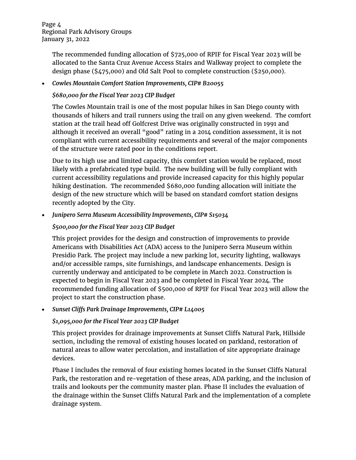The recommended funding allocation of \$725,000 of RPIF for Fiscal Year 2023 will be allocated to the Santa Cruz Avenue Access Stairs and Walkway project to complete the design phase (\$475,000) and Old Salt Pool to complete construction (\$250,000).

### • *Cowles Mountain Comfort Station Improvements, CIP# B20055*

## *\$680,000 for the Fiscal Year 2023 CIP Budget*

The Cowles Mountain trail is one of the most popular hikes in San Diego county with thousands of hikers and trail runners using the trail on any given weekend. The comfort station at the trail head off Golfcrest Drive was originally constructed in 1991 and although it received an overall "good" rating in a 2014 condition assessment, it is not compliant with current accessibility requirements and several of the major components of the structure were rated poor in the conditions report.

Due to its high use and limited capacity, this comfort station would be replaced, most likely with a prefabricated type build. The new building will be fully compliant with current accessibility regulations and provide increased capacity for this highly popular hiking destination. The recommended \$680,000 funding allocation will initiate the design of the new structure which will be based on standard comfort station designs recently adopted by the City.

#### • *Junipero Serra Museum Accessibility Improvements, CIP# S15034*

## *\$500,000 for the Fiscal Year 2023 CIP Budget*

This project provides for the design and construction of improvements to provide Americans with Disabilities Act (ADA) access to the Junipero Serra Museum within Presidio Park. The project may include a new parking lot, security lighting, walkways and/or accessible ramps, site furnishings, and landscape enhancements. Design is currently underway and anticipated to be complete in March 2022. Construction is expected to begin in Fiscal Year 2023 and be completed in Fiscal Year 2024. The recommended funding allocation of \$500,000 of RPIF for Fiscal Year 2023 will allow the project to start the construction phase.

#### • *Sunset Cliffs Park Drainage Improvements, CIP# L14005*

# *\$1,095,000 for the Fiscal Year 2023 CIP Budget*

This project provides for drainage improvements at Sunset Cliffs Natural Park, Hillside section, including the removal of existing houses located on parkland, restoration of natural areas to allow water percolation, and installation of site appropriate drainage devices.

Phase I includes the removal of four existing homes located in the Sunset Cliffs Natural Park, the restoration and re-vegetation of these areas, ADA parking, and the inclusion of trails and lookouts per the community master plan. Phase II includes the evaluation of the drainage within the Sunset Cliffs Natural Park and the implementation of a complete drainage system.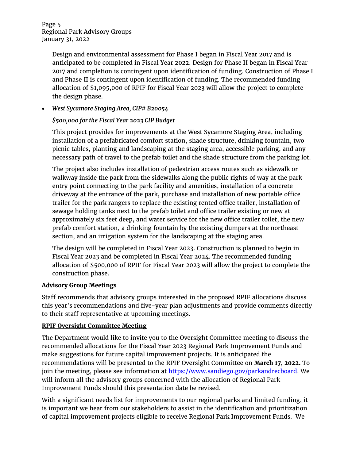Page 5 Regional Park Advisory Groups January 31, 2022

> Design and environmental assessment for Phase I began in Fiscal Year 2017 and is anticipated to be completed in Fiscal Year 2022. Design for Phase II began in Fiscal Year 2017 and completion is contingent upon identification of funding. Construction of Phase I and Phase II is contingent upon identification of funding. The recommended funding allocation of \$1,095,000 of RPIF for Fiscal Year 2023 will allow the project to complete the design phase.

• *West Sycamore Staging Area, CIP# B20054*

## *\$500,000 for the Fiscal Year 2023 CIP Budget*

This project provides for improvements at the West Sycamore Staging Area, including installation of a prefabricated comfort station, shade structure, drinking fountain, two picnic tables, planting and landscaping at the staging area, accessible parking, and any necessary path of travel to the prefab toilet and the shade structure from the parking lot.

The project also includes installation of pedestrian access routes such as sidewalk or walkway inside the park from the sidewalks along the public rights of way at the park entry point connecting to the park facility and amenities, installation of a concrete driveway at the entrance of the park, purchase and installation of new portable office trailer for the park rangers to replace the existing rented office trailer, installation of sewage holding tanks next to the prefab toilet and office trailer existing or new at approximately six feet deep, and water service for the new office trailer toilet, the new prefab comfort station, a drinking fountain by the existing dumpers at the northeast section, and an irrigation system for the landscaping at the staging area.

The design will be completed in Fiscal Year 2023. Construction is planned to begin in Fiscal Year 2023 and be completed in Fiscal Year 2024. The recommended funding allocation of \$500,000 of RPIF for Fiscal Year 2023 will allow the project to complete the construction phase.

#### **Advisory Group Meetings**

Staff recommends that advisory groups interested in the proposed RPIF allocations discuss this year's recommendations and five-year plan adjustments and provide comments directly to their staff representative at upcoming meetings.

#### **RPIF Oversight Committee Meeting**

The Department would like to invite you to the Oversight Committee meeting to discuss the recommended allocations for the Fiscal Year 2023 Regional Park Improvement Funds and make suggestions for future capital improvement projects. It is anticipated the recommendations will be presented to the RPIF Oversight Committee on **March 17, 2022.** To join the meeting, please see information at [https://www.sandiego.gov/parkandrecboard.](https://www.sandiego.gov/parkandrecboard) We will inform all the advisory groups concerned with the allocation of Regional Park Improvement Funds should this presentation date be revised.

With a significant needs list for improvements to our regional parks and limited funding, it is important we hear from our stakeholders to assist in the identification and prioritization of capital improvement projects eligible to receive Regional Park Improvement Funds. We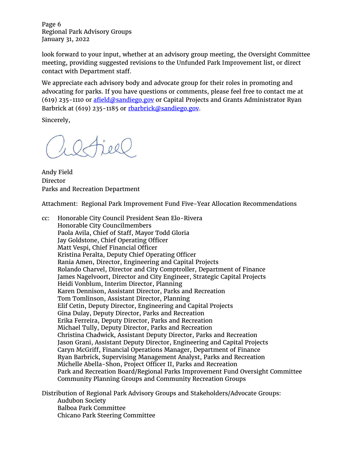Page 6 Regional Park Advisory Groups January 31, 2022

look forward to your input, whether at an advisory group meeting, the Oversight Committee meeting, providing suggested revisions to the Unfunded Park Improvement list, or direct contact with Department staff.

We appreciate each advisory body and advocate group for their roles in promoting and advocating for parks. If you have questions or comments, please feel free to contact me at (619) 235-1110 or  $\frac{\text{afield}\textcircled{a}\text{sandiego.gov}}{\text{c you}}$  or Capital Projects and Grants Administrator Ryan Barbrick at (619) 235-1185 or [rbarbrick@sandiego.gov.](mailto:rbarbrick@sandiego.gov)

Sincerely,

Andy Field Director Parks and Recreation Department

Attachment: Regional Park Improvement Fund Five-Year Allocation Recommendations

cc: Honorable City Council President Sean Elo-Rivera Honorable City Councilmembers Paola Avila, Chief of Staff, Mayor Todd Gloria Jay Goldstone, Chief Operating Officer Matt Vespi, Chief Financial Officer Kristina Peralta, Deputy Chief Operating Officer Rania Amen, Director, Engineering and Capital Projects Rolando Charvel, Director and City Comptroller, Department of Finance James Nagelvoort, Director and City Engineer, Strategic Capital Projects Heidi Vonblum, Interim Director, Planning Karen Dennison, Assistant Director, Parks and Recreation Tom Tomlinson, Assistant Director, Planning Elif Cetin, Deputy Director, Engineering and Capital Projects Gina Dulay, Deputy Director, Parks and Recreation Erika Ferreira, Deputy Director, Parks and Recreation Michael Tully, Deputy Director, Parks and Recreation Christina Chadwick, Assistant Deputy Director, Parks and Recreation Jason Grani, Assistant Deputy Director, Engineering and Capital Projects Caryn McGriff, Financial Operations Manager, Department of Finance Ryan Barbrick, Supervising Management Analyst, Parks and Recreation Michelle Abella-Shon, Project Officer II, Parks and Recreation Park and Recreation Board/Regional Parks Improvement Fund Oversight Committee Community Planning Groups and Community Recreation Groups

Distribution of Regional Park Advisory Groups and Stakeholders/Advocate Groups: Audubon Society Balboa Park Committee Chicano Park Steering Committee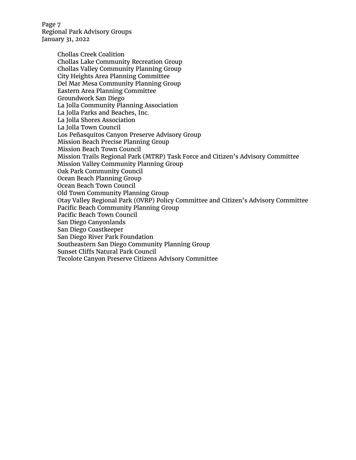Page 7 Regional Park Advisory Groups January 31, 2022

> Chollas Creek Coalition Chollas Lake Community Recreation Group Chollas Valley Community Planning Group City Heights Area Planning Committee Del Mar Mesa Community Planning Group Eastern Area Planning Committee Groundwork San Diego La Jolla Community Planning Association La Jolla Parks and Beaches, Inc. La Jolla Shores Association La Jolla Town Council Los Peñasquitos Canyon Preserve Advisory Group Mission Beach Precise Planning Group Mission Beach Town Council Mission Trails Regional Park (MTRP) Task Force and Citizen's Advisory Committee Mission Valley Community Planning Group Oak Park Community Council Ocean Beach Planning Group Ocean Beach Town Council Old Town Community Planning Group Otay Valley Regional Park (OVRP) Policy Committee and Citizen's Advisory Committee Pacific Beach Community Planning Group Pacific Beach Town Council San Diego Canyonlands San Diego Coastkeeper San Diego River Park Foundation Southeastern San Diego Community Planning Group Sunset Cliffs Natural Park Council Tecolote Canyon Preserve Citizens Advisory Committee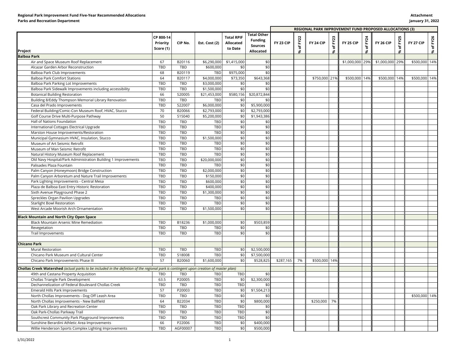|                                                                                                                                        |                                    |            |                            |                                                  |                                                                     |           | REGIONAL PARK IMPROVEMENT FUND PROPOSED ALLOCATIONS (3) |               |                            |                  |                  |                  |                            |               |                 |
|----------------------------------------------------------------------------------------------------------------------------------------|------------------------------------|------------|----------------------------|--------------------------------------------------|---------------------------------------------------------------------|-----------|---------------------------------------------------------|---------------|----------------------------|------------------|------------------|------------------|----------------------------|---------------|-----------------|
| Project                                                                                                                                | CP 800-14<br>Priority<br>Score (1) | CIP No.    | Est. Cost (2)              | <b>Total RPIF</b><br><b>Allocated</b><br>to Date | <b>Total Other</b><br><b>Funding</b><br><b>Sources</b><br>Allocated | FY 23 CIP | FY <sub>22</sub><br>৳<br>ጜ                              | FY 24 CIP     | FY <sub>23</sub><br>ቴ<br>* | <b>FY 25 CIP</b> | FY24<br>৳<br>՝ ኤ | <b>FY 26 CIP</b> | FY <sub>25</sub><br>৳<br>* | FY 27 CIP     | FY26<br>ቴ<br>\$ |
| <b>Balboa Park</b>                                                                                                                     |                                    |            |                            |                                                  |                                                                     |           |                                                         |               |                            |                  |                  |                  |                            |               |                 |
| Air and Space Museum Roof Replacement                                                                                                  | 67                                 | B20116     | \$6,290,000                | \$1,415,000                                      | \$0                                                                 |           |                                                         |               |                            | \$1,000,000      | 29%              | \$1,000,000      | 29%                        | \$500,000     | 14%             |
| Alcazar Garden Arbor Reconstruction                                                                                                    | TBD                                | TBD        | \$600,000                  | \$0                                              | \$0                                                                 |           |                                                         |               |                            |                  |                  |                  |                            |               |                 |
| Balboa Park Club Improvements                                                                                                          | 68                                 | B20119     | TBD                        | \$975,000                                        | \$0                                                                 |           |                                                         |               |                            |                  |                  |                  |                            |               |                 |
| <b>Balboa Park Comfort Stations</b>                                                                                                    | 64                                 | B20117     | \$4,000,000                | \$73,350                                         | \$643,368                                                           |           |                                                         | \$750,000 21% |                            | \$500,000 14%    |                  | \$500,000        | 14%                        | \$500,000 14% |                 |
| Balboa Park Parking Lot Improvements                                                                                                   | TBD                                | TBD        | \$3,000,000                | \$0                                              | \$0                                                                 |           |                                                         |               |                            |                  |                  |                  |                            |               |                 |
| Balboa Park Sidewalk Improvements including accessibility                                                                              | TBD                                | TBD        | \$1,500,000                | \$0                                              | \$0                                                                 |           |                                                         |               |                            |                  |                  |                  |                            |               |                 |
| <b>Botanical Building Restoration</b>                                                                                                  | 66                                 | S20005     | \$21,453,000               | \$580,156                                        | \$20,872,844                                                        |           |                                                         |               |                            |                  |                  |                  |                            |               |                 |
| Building 8/Eddy Thompson Memorial Library Renovation                                                                                   | TBD                                | TBD        | TBD                        | \$0                                              | \$0                                                                 |           |                                                         |               |                            |                  |                  |                  |                            |               |                 |
| Casa del Prado Improvements                                                                                                            | TBD                                | S22007     | \$6,000,000                | \$0                                              | \$5,900,000                                                         |           |                                                         |               |                            |                  |                  |                  |                            |               |                 |
| Federal Building/Comic-Con Museum Roof, HVAC, Stucco                                                                                   | 70                                 | B20066     | \$2,793,000                | \$0                                              | \$2,793,000                                                         |           |                                                         |               |                            |                  |                  |                  |                            |               |                 |
| Golf Course Drive Multi-Purpose Pathway                                                                                                | 50                                 | S15040     | \$5,200,000                | \$0                                              | \$1,943,386                                                         |           |                                                         |               |                            |                  |                  |                  |                            |               |                 |
| Hall of Nations Foundation                                                                                                             | TBD                                | <b>TBD</b> | TBD                        | \$0                                              | \$0                                                                 |           |                                                         |               |                            |                  |                  |                  |                            |               |                 |
| International Cottages Electrical Upgrade                                                                                              | TBD                                | TBD        | TBD                        | \$0                                              | \$0                                                                 |           |                                                         |               |                            |                  |                  |                  |                            |               |                 |
| Marston House Improvements/Restoration                                                                                                 | TBD                                | TBD        | TBD                        | \$0                                              | \$0                                                                 |           |                                                         |               |                            |                  |                  |                  |                            |               |                 |
| Municipal Gymnasium HVAC, Insulation, Stucco                                                                                           | TBD                                | TBD        | \$1,500,000                | \$0                                              | \$0                                                                 |           |                                                         |               |                            |                  |                  |                  |                            |               |                 |
|                                                                                                                                        | TBD                                | TBD        |                            | \$0                                              | \$0                                                                 |           |                                                         |               |                            |                  |                  |                  |                            |               |                 |
| Museum of Art Seismic Retrofit                                                                                                         | TBD                                | TBD        | <b>TBD</b><br>TBD          | \$0                                              | \$0                                                                 |           |                                                         |               |                            |                  |                  |                  |                            |               |                 |
| Museum of Man Seismic Retrofit                                                                                                         |                                    |            |                            | \$0                                              | \$0                                                                 |           |                                                         |               |                            |                  |                  |                  |                            |               |                 |
| Natural History Museum Roof Replacement                                                                                                | TBD                                | TBD        | TBD                        | \$0                                              |                                                                     |           |                                                         |               |                            |                  |                  |                  |                            |               |                 |
| Old Navy Hospital/Park Administration Building 1 Improvements                                                                          | TBD<br>TBD                         | TBD        | \$20,000,000<br><b>TBD</b> | \$0                                              | \$0<br>\$0                                                          |           |                                                         |               |                            |                  |                  |                  |                            |               |                 |
| Palisades Plaza Fountain                                                                                                               |                                    | <b>TBD</b> |                            |                                                  |                                                                     |           |                                                         |               |                            |                  |                  |                  |                            |               |                 |
| Palm Canyon (Honeymoon) Bridge Construction                                                                                            | TBD                                | TBD        | \$2,000,000                | \$0                                              | \$0                                                                 |           |                                                         |               |                            |                  |                  |                  |                            |               |                 |
| Palm Canyon Arboretum and Nature Trail Improvements                                                                                    | TBD                                | TBD        | \$150,000                  | \$0                                              | \$0                                                                 |           |                                                         |               |                            |                  |                  |                  |                            |               |                 |
| Park Lighting Improvements - Central Mesa                                                                                              | <b>TBD</b>                         | TBD        | \$600,000                  | \$0                                              | \$0                                                                 |           |                                                         |               |                            |                  |                  |                  |                            |               |                 |
| Plaza de Balboa East Entry Historic Restoration                                                                                        | TBD                                | TBD        | \$400,000                  | \$0                                              | \$0                                                                 |           |                                                         |               |                            |                  |                  |                  |                            |               |                 |
| Sixth Avenue Playground Phase 2                                                                                                        | TBD                                | TBD        | \$1,300,000                | \$0                                              | \$0                                                                 |           |                                                         |               |                            |                  |                  |                  |                            |               |                 |
| Spreckles Organ Pavilion Upgrades                                                                                                      | <b>TBD</b>                         | TBD        | TBD                        | \$0                                              | \$0                                                                 |           |                                                         |               |                            |                  |                  |                  |                            |               |                 |
| Starlight Bowl Restoration                                                                                                             | TBD                                | TBD        | TBD                        | \$0                                              | \$0                                                                 |           |                                                         |               |                            |                  |                  |                  |                            |               |                 |
| West Arcade Moorish Arch Ornamentation                                                                                                 | TBD                                | <b>TBD</b> | \$1,500,000                | \$0                                              | \$0                                                                 |           |                                                         |               |                            |                  |                  |                  |                            |               |                 |
| <b>Black Mountain and North City Open Space</b>                                                                                        |                                    |            |                            |                                                  |                                                                     |           |                                                         |               |                            |                  |                  |                  |                            |               |                 |
| Black Mountain Arsenic Mine Remediation                                                                                                | TBD                                | B18236     | \$1,000,000                | \$0                                              | \$503,859                                                           |           |                                                         |               |                            |                  |                  |                  |                            |               |                 |
| Revegetation                                                                                                                           | TBD                                | <b>TBD</b> | <b>TBD</b>                 | \$0                                              | \$0                                                                 |           |                                                         |               |                            |                  |                  |                  |                            |               |                 |
| Trail Improvements                                                                                                                     | TBD                                | TBD        | TBD                        | \$0                                              | \$0                                                                 |           |                                                         |               |                            |                  |                  |                  |                            |               |                 |
|                                                                                                                                        |                                    |            |                            |                                                  |                                                                     |           |                                                         |               |                            |                  |                  |                  |                            |               |                 |
| <b>Chicano Park</b>                                                                                                                    |                                    |            |                            |                                                  |                                                                     |           |                                                         |               |                            |                  |                  |                  |                            |               |                 |
| Mural Restoration                                                                                                                      | TBD                                | <b>TBD</b> | <b>TBD</b>                 | \$0                                              | \$2,500,000                                                         |           |                                                         |               |                            |                  |                  |                  |                            |               |                 |
| Chicano Park Museum and Cultural Center                                                                                                | TBD                                | S18008     | TBD                        | \$0                                              | \$7,500,000                                                         |           |                                                         |               |                            |                  |                  |                  |                            |               |                 |
| Chicano Park Improvements Phase III                                                                                                    | 57                                 | B20060     | \$1,600,000                | \$0                                              | \$528,825                                                           | \$287,165 | 7%                                                      | \$500,000 14% |                            |                  |                  |                  |                            |               |                 |
|                                                                                                                                        |                                    |            |                            |                                                  |                                                                     |           |                                                         |               |                            |                  |                  |                  |                            |               |                 |
| Chollas Creek Watershed (actual parks to be included in the defintion of the regional park is contingent upon creation of master plan) |                                    |            |                            |                                                  |                                                                     |           |                                                         |               |                            |                  |                  |                  |                            |               |                 |
| 49th and Castana Property Acquisition                                                                                                  | TBD                                | TBD        | TBD                        | TBD                                              | \$0                                                                 |           |                                                         |               |                            |                  |                  |                  |                            |               |                 |
| Chollas Triangle Park Development                                                                                                      | 63.5                               | P20005     | <b>TBD</b>                 | \$0                                              | \$2,300,000                                                         |           |                                                         |               |                            |                  |                  |                  |                            |               |                 |
| Dechannelization of Federal Boulevard Chollas Creek                                                                                    | TBD                                | TBD        | TBD                        | <b>TBD</b>                                       | \$0                                                                 |           |                                                         |               |                            |                  |                  |                  |                            |               |                 |
| Emerald Hills Park Improvements                                                                                                        | 57                                 | P20003     | TBD                        | \$0                                              | \$1,504,213                                                         |           |                                                         |               |                            |                  |                  |                  |                            |               |                 |
| North Chollas Improvements - Dog Off Leash Area                                                                                        | <b>TBD</b>                         | TBD        | TBD                        | \$0                                              | \$0                                                                 |           |                                                         |               |                            |                  |                  |                  |                            | \$500,000 14% |                 |
| North Chollas Improvements - New Ballfield                                                                                             | 64                                 | B22034     | TBD                        | \$0                                              | \$800,000                                                           |           |                                                         | \$250,000     | 7%                         |                  |                  |                  |                            |               |                 |
| Oak Park Library and Recreation Center                                                                                                 | TBD                                | TBD        | TBD                        | TBD                                              | \$0                                                                 |           |                                                         |               |                            |                  |                  |                  |                            |               |                 |
| Oak Park-Chollas Parkway Trail                                                                                                         | TBD                                | TBD        | <b>TBD</b>                 | <b>TBD</b>                                       | \$0                                                                 |           |                                                         |               |                            |                  |                  |                  |                            |               |                 |
| Southcrest Community Park Playground Improvements                                                                                      | TBD                                | TBD        | TBD                        | TBD                                              | \$0                                                                 |           |                                                         |               |                            |                  |                  |                  |                            |               |                 |
| Sunshine Berardini Athletic Area Improvements                                                                                          | 66                                 | P22006     | TBD                        | \$0                                              | \$400,000                                                           |           |                                                         |               |                            |                  |                  |                  |                            |               |                 |
| Willie Henderson Sports Complex Lighting Improvements                                                                                  | TBD                                | AGF00007   | TBD                        | \$0                                              | \$500,000                                                           |           |                                                         |               |                            |                  |                  |                  |                            |               |                 |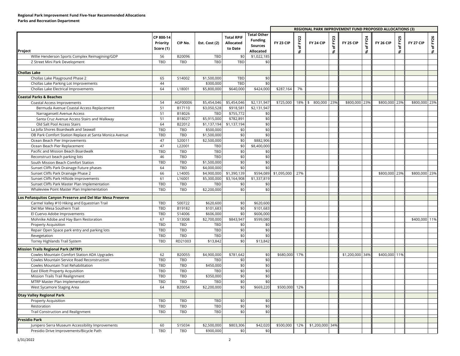#### **Regional Park Improvement Fund Five-Year Recommended Allocations Parks and Recreation Department**

|                                                           |                                    |            |               |                                           |                                                                     |               | REGIONAL PARK IMPROVEMENT FUND PROPOSED ALLOCATIONS (3) |                 |                                                       |                 |                 |               |                                                        |               |           |
|-----------------------------------------------------------|------------------------------------|------------|---------------|-------------------------------------------|---------------------------------------------------------------------|---------------|---------------------------------------------------------|-----------------|-------------------------------------------------------|-----------------|-----------------|---------------|--------------------------------------------------------|---------------|-----------|
| Project                                                   | CP 800-14<br>Priority<br>Score (1) | CIP No.    | Est. Cost (2) | <b>Total RPIF</b><br>Allocated<br>to Date | <b>Total Other</b><br><b>Funding</b><br><b>Sources</b><br>Allocated | FY 23 CIP     | of FY22<br>S.                                           | FY 24 CIP       | FY <sub>23</sub><br>$\overleftarrow{\mathrm{o}}$<br>8 | FY 25 CIP       | FY24<br>ቴ<br>S. | FY 26 CIP     | FY <sub>25</sub><br>$\overleftarrow{\mathrm{o}}$<br>\$ | FY 27 CIP     | % of FY26 |
| Willie Henderson Sports Complex Reimagining/GDP           | 56                                 | B20096     | TBD           | \$0                                       | \$1,022,185                                                         |               |                                                         |                 |                                                       |                 |                 |               |                                                        |               |           |
| Z Street Mini Park Development                            | TBD                                | TBD        | TBD           | TBD                                       | \$0                                                                 |               |                                                         |                 |                                                       |                 |                 |               |                                                        |               |           |
|                                                           |                                    |            |               |                                           |                                                                     |               |                                                         |                 |                                                       |                 |                 |               |                                                        |               |           |
| <b>Chollas Lake</b>                                       |                                    |            |               |                                           |                                                                     |               |                                                         |                 |                                                       |                 |                 |               |                                                        |               |           |
| Chollas Lake Playground Phase 2                           | 65                                 | S14002     | \$1,500,000   | TBD                                       | \$0                                                                 |               |                                                         |                 |                                                       |                 |                 |               |                                                        |               |           |
| Chollas Lake Parking Lot Improvements                     | 44                                 |            | \$300,000     | TBD                                       | \$0                                                                 |               |                                                         |                 |                                                       |                 |                 |               |                                                        |               |           |
| Chollas Lake Electrical Improvements                      | 64                                 | L18001     | \$5,800,000   | \$640,000                                 | \$424,000                                                           | \$287,164     | 7%                                                      |                 |                                                       |                 |                 |               |                                                        |               |           |
| <b>Coastal Parks &amp; Beaches</b>                        |                                    |            |               |                                           |                                                                     |               |                                                         |                 |                                                       |                 |                 |               |                                                        |               |           |
| Coastal Access Improvements                               | 54                                 | AGF00006   | \$5,454,046   | \$5,454,046                               | \$2,131,947                                                         | \$725,000     | 18%                                                     | 800,000<br>\$   | 23%                                                   | \$800,000 23%   |                 | \$800,000 23% |                                                        | \$800,000 23% |           |
| Bermuda Avenue Coastal Access Replacement                 | 51                                 | B17110     | \$3,050,528   | \$918,581                                 | \$2,131,947                                                         |               |                                                         |                 |                                                       |                 |                 |               |                                                        |               |           |
| Narragansett Avenue Access                                | 51                                 | B18026     | TBD           | \$755,772                                 | \$0                                                                 |               |                                                         |                 |                                                       |                 |                 |               |                                                        |               |           |
| Santa Cruz Avenue Access Stairs and Walkway               | 51                                 | B18027     | \$5,915,000   | \$782,891                                 | \$0                                                                 |               |                                                         |                 |                                                       |                 |                 |               |                                                        |               |           |
| Old Salt Pool Access Stairs                               | 64                                 | B22012     | \$1,137,194   | \$1,137,194                               | \$0                                                                 |               |                                                         |                 |                                                       |                 |                 |               |                                                        |               |           |
| La Jolla Shores Boardwalk and Seawall                     | TBD                                | TBD        | \$500,000     | \$0                                       | \$0                                                                 |               |                                                         |                 |                                                       |                 |                 |               |                                                        |               |           |
| OB Park Comfort Station Replace at Santa Monica Avenue    | TBD                                | TBD        | \$1,500,000   | \$0                                       | \$0                                                                 |               |                                                         |                 |                                                       |                 |                 |               |                                                        |               |           |
| Ocean Beach Pier Improvements                             | 47                                 | S20011     | \$2,500,000   | \$0                                       | \$882,906                                                           |               |                                                         |                 |                                                       |                 |                 |               |                                                        |               |           |
| Ocean Beach Pier Replacement                              | 47                                 | L22001     | TBD           | \$0                                       | \$8,400,000                                                         |               |                                                         |                 |                                                       |                 |                 |               |                                                        |               |           |
| Pacific and Mission Beach Boardwalk                       | TBD                                | TBD        | TBD           | \$0                                       | \$0                                                                 |               |                                                         |                 |                                                       |                 |                 |               |                                                        |               |           |
| Reconstruct beach parking lots                            | 46                                 | TBD        | TBD           | \$0                                       | \$0                                                                 |               |                                                         |                 |                                                       |                 |                 |               |                                                        |               |           |
| South Mission Beach Comfort Station                       | TBD                                | TBD        | \$1,500,000   | \$0                                       | \$0                                                                 |               |                                                         |                 |                                                       |                 |                 |               |                                                        |               |           |
| Sunset Cliffs Park Drainage Future phases                 | 64                                 | TBD        | \$4,000,000   | \$0                                       | \$0                                                                 |               |                                                         |                 |                                                       |                 |                 |               |                                                        |               |           |
| Sunset Cliffs Park Drainage Phase 2                       | 66                                 | L14005     | \$4,900,000   | \$1,390,139                               | \$594,089                                                           | \$1,095,000   | 27%                                                     |                 |                                                       |                 |                 | \$800,000 23% |                                                        | \$800,000 23% |           |
| Sunset Cliffs Park Hillside Improvements                  | 61                                 | L16001     | \$5,300,000   | \$3,164,908                               | \$1,337,819                                                         |               |                                                         |                 |                                                       |                 |                 |               |                                                        |               |           |
| Sunset Cliffs Park Master Plan Implementation             | TBD                                | <b>TBD</b> | TBD           | \$0                                       | \$0                                                                 |               |                                                         |                 |                                                       |                 |                 |               |                                                        |               |           |
| Whaleview Point Master Plan Implementation                | TBD                                | TBD        | \$2,200,000   | \$0                                       | \$0                                                                 |               |                                                         |                 |                                                       |                 |                 |               |                                                        |               |           |
|                                                           |                                    |            |               |                                           |                                                                     |               |                                                         |                 |                                                       |                 |                 |               |                                                        |               |           |
| Los Peñasquitos Canyon Preserve and Del Mar Mesa Preserve |                                    |            |               |                                           |                                                                     |               |                                                         |                 |                                                       |                 |                 |               |                                                        |               |           |
| Carmel Valley #10 Hiking and Equestrian Trail             | TBD                                | S00722     | \$620,600     | \$0                                       | \$620,600                                                           |               |                                                         |                 |                                                       |                 |                 |               |                                                        |               |           |
| Del Mar Mesa Southern Trail                               | TBD                                | B19182     | \$101,683     | \$0                                       | \$101,683                                                           |               |                                                         |                 |                                                       |                 |                 |               |                                                        |               |           |
| El Cuervo Adobe Improvements                              | TBD                                | S14006     | \$606,000     | \$0                                       | \$606,000                                                           |               |                                                         |                 |                                                       |                 |                 |               |                                                        |               |           |
| Mohnike Adobe and Hay Barn Restoration                    | 67                                 | S13008     | \$2,700,000   | \$843,947                                 | \$599,080                                                           |               |                                                         |                 |                                                       |                 |                 |               |                                                        | \$400,000 11% |           |
| <b>Property Acquisition</b>                               | TBD                                | TBD        | TBD           | \$0                                       | \$0                                                                 |               |                                                         |                 |                                                       |                 |                 |               |                                                        |               |           |
| Repair Open Space park entry and parking lots             | TBD                                | TBD        | TBD           | \$0                                       | \$0                                                                 |               |                                                         |                 |                                                       |                 |                 |               |                                                        |               |           |
| Revegetation                                              | TBD                                | TBD        | TBD           | \$0                                       | \$0                                                                 |               |                                                         |                 |                                                       |                 |                 |               |                                                        |               |           |
| Torrey Highlands Trail System                             | TBD                                | RD21003    | \$13,842      | \$0                                       | \$13,842                                                            |               |                                                         |                 |                                                       |                 |                 |               |                                                        |               |           |
| <b>Mission Trails Regional Park (MTRP)</b>                |                                    |            |               |                                           |                                                                     |               |                                                         |                 |                                                       |                 |                 |               |                                                        |               |           |
| Cowles Mountain Comfort Station ADA Upgrades              | 62                                 | B20055     | \$4,900,000   | \$781,642                                 | \$0                                                                 | \$680,000     | 17%                                                     |                 |                                                       | \$1,200,000 34% |                 | \$400,000 11% |                                                        |               |           |
| Cowles Mountain Service Road Reconstruction               | TBD                                | TBD        | TBD           | \$0                                       | \$0                                                                 |               |                                                         |                 |                                                       |                 |                 |               |                                                        |               |           |
| Cowles Mountain Trail Rehabilitation                      | TBD                                | TBD        | \$450,000     | \$0                                       | \$0                                                                 |               |                                                         |                 |                                                       |                 |                 |               |                                                        |               |           |
| East Elliott Property Acquisition                         | TBD                                | TBD        | TBD           | \$0                                       | \$0                                                                 |               |                                                         |                 |                                                       |                 |                 |               |                                                        |               |           |
| Mission Trails Trail Realignment                          | TBD                                | TBD        | \$350,000     | \$0                                       | \$0                                                                 |               |                                                         |                 |                                                       |                 |                 |               |                                                        |               |           |
| MTRP Master Plan Implementation                           | TBD                                | TBD        | TBD           | \$0                                       | \$0                                                                 |               |                                                         |                 |                                                       |                 |                 |               |                                                        |               |           |
| West Sycamore Staging Area                                | 64                                 | B20054     | \$2,200,000   | \$0                                       | \$669,220                                                           | \$500,000 12% |                                                         |                 |                                                       |                 |                 |               |                                                        |               |           |
|                                                           |                                    |            |               |                                           |                                                                     |               |                                                         |                 |                                                       |                 |                 |               |                                                        |               |           |
| <b>Otay Valley Regional Park</b>                          | TBD                                | TBD        |               | \$0                                       |                                                                     |               |                                                         |                 |                                                       |                 |                 |               |                                                        |               |           |
| Property Acquisition                                      | TBD                                | TBD        | TBD<br>TBD    | \$0                                       | \$0                                                                 |               |                                                         |                 |                                                       |                 |                 |               |                                                        |               |           |
| Restoration                                               | TBD                                | TBD        | TBD           | \$0                                       | \$0<br>\$0                                                          |               |                                                         |                 |                                                       |                 |                 |               |                                                        |               |           |
| Trail Construction and Realignment                        |                                    |            |               |                                           |                                                                     |               |                                                         |                 |                                                       |                 |                 |               |                                                        |               |           |
| <b>Presidio Park</b>                                      |                                    |            |               |                                           |                                                                     |               |                                                         |                 |                                                       |                 |                 |               |                                                        |               |           |
| Junipero Serra Museum Accessibility Improvements          | 60                                 | S15034     | \$2,500,000   | \$803,306                                 | \$42,020                                                            | \$500,000     | 12%                                                     | \$1,200,000 34% |                                                       |                 |                 |               |                                                        |               |           |
| Presidio Drive Improvements/Bicycle Path                  | TBD                                | TBD        | \$900,000     | \$0                                       | \$0                                                                 |               |                                                         |                 |                                                       |                 |                 |               |                                                        |               |           |